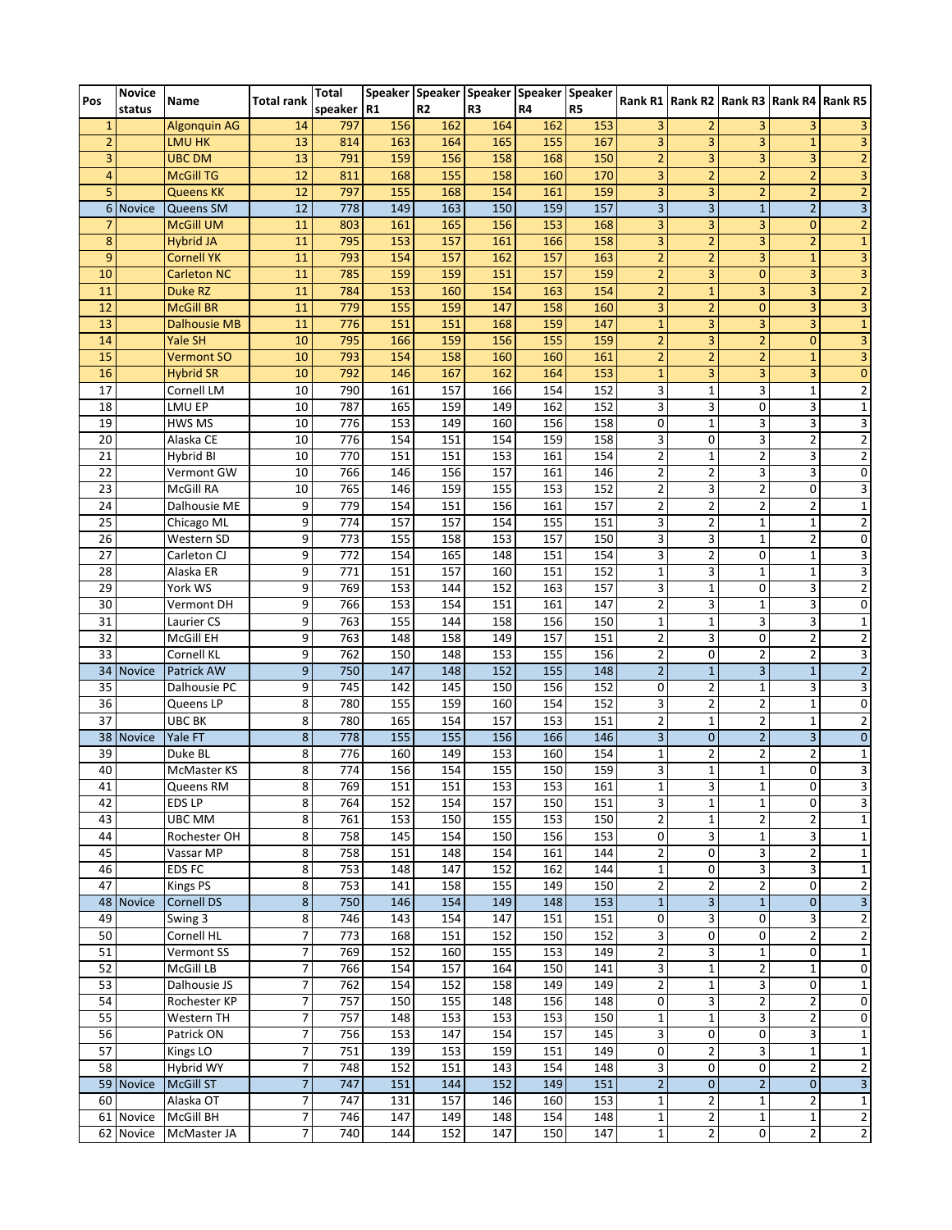| Pos             | <b>Novice</b> | Name                | <b>Total rank</b> | Total        |     |                |                | Speaker   Speaker   Speaker   Speaker   Speaker |                |                | Rank R1   Rank R2   Rank R3   Rank R4   Rank R5 |                         |                |                         |
|-----------------|---------------|---------------------|-------------------|--------------|-----|----------------|----------------|-------------------------------------------------|----------------|----------------|-------------------------------------------------|-------------------------|----------------|-------------------------|
|                 | status        |                     |                   | speaker   R1 |     | R <sub>2</sub> | R <sub>3</sub> | R4                                              | R <sub>5</sub> |                |                                                 |                         |                |                         |
| 1               |               | <b>Algonquin AG</b> | 14                | 797          | 156 | 162            | 164            | 162                                             | 153            | 3              | $\overline{2}$                                  | 3                       | 3              | 3                       |
| $\overline{2}$  |               | <b>LMU HK</b>       | 13                | 814          | 163 | 164            | 165            | 155                                             | 167            | 3              | 3                                               | 3                       | $\mathbf{1}$   | 3                       |
| 3               |               | <b>UBC DM</b>       | 13                | 791          | 159 | 156            | 158            | 168                                             | 150            | $\overline{2}$ | 3                                               | 3                       | 3              | $\overline{2}$          |
| 4               |               | <b>McGill TG</b>    | 12                | 811          | 168 | 155            | 158            | 160                                             | 170            | $\overline{3}$ | $\overline{2}$                                  | $\overline{2}$          | $\overline{2}$ | $\overline{3}$          |
| 5               |               | <b>Queens KK</b>    | 12                | 797          | 155 | 168            | 154            | 161                                             | 159            | 3              | 3                                               | $\overline{2}$          | $\overline{2}$ | $\overline{2}$          |
| 6               | <b>Novice</b> | Queens SM           | 12                | 778          | 149 | 163            | 150            | 159                                             | 157            | 3              | $\overline{3}$                                  | $\mathbf{1}$            | $\overline{2}$ | $\overline{3}$          |
| 7               |               | <b>McGill UM</b>    | 11                | 803          | 161 | 165            | 156            | 153                                             | 168            | 3              | 3                                               | 3                       | $\mathbf{0}$   | $\overline{2}$          |
| 8               |               | <b>Hybrid JA</b>    | 11                | 795          | 153 | 157            | 161            | 166                                             | 158            | 3              | $\overline{2}$                                  | 3                       | $\overline{2}$ | $\overline{\mathbf{1}}$ |
| 9               |               | <b>Cornell YK</b>   | 11                | 793          | 154 | 157            | 162            | 157                                             | 163            | $\overline{2}$ | $\overline{2}$                                  | 3                       | $\mathbf{1}$   | 3                       |
| 10              |               | <b>Carleton NC</b>  | 11                | 785          | 159 | 159            | 151            | 157                                             | 159            | $\overline{2}$ | $\overline{3}$                                  | $\overline{0}$          | 3              | $\overline{\mathbf{3}}$ |
| 11              |               | Duke RZ             | 11                | 784          | 153 | 160            | 154            | 163                                             | 154            | $\overline{2}$ | $\mathbf{1}$                                    | 3                       | 3              | $\overline{a}$          |
| 12              |               | <b>McGill BR</b>    | 11                | 779          | 155 | 159            | 147            | 158                                             | 160            | 3              | $\overline{2}$                                  | $\mathbf{0}$            | $\overline{3}$ | $\overline{3}$          |
| 13              |               | <b>Dalhousie MB</b> | 11                | 776          | 151 | 151            | 168            | 159                                             | 147            | $\mathbf{1}$   | 3                                               | 3                       | 3              | $\mathbf 1$             |
| 14              |               | Yale SH             | 10                | 795          | 166 | 159            | 156            | 155                                             | 159            | $\overline{2}$ | 3                                               | $\overline{2}$          | $\mathbf{0}$   | 3                       |
| 15              |               | <b>Vermont SO</b>   | 10                | 793          | 154 | 158            | 160            | 160                                             | 161            | $\overline{2}$ | $\overline{2}$                                  | $\overline{2}$          | $\mathbf{1}$   | $\overline{3}$          |
| 16              |               | <b>Hybrid SR</b>    | 10                | 792          | 146 | 167            | 162            | 164                                             | 153            | $\mathbf{1}$   | 3                                               | 3                       | 3              | $\pmb{0}$               |
| 17              |               | Cornell LM          | 10                | 790          | 161 | 157            | 166            | 154                                             | 152            | 3              | $\mathbf{1}$                                    | 3                       | $\mathbf{1}$   | $\overline{2}$          |
| 18              |               | LMU EP              | 10                | 787          | 165 | 159            | 149            | 162                                             | 152            | 3              | 3                                               | $\mathbf 0$             | 3              | $\mathbf{1}$            |
| 19              |               | HWS MS              | 10                | 776          | 153 | 149            | 160            | 156                                             | 158            | 0              | $\mathbf{1}$                                    | 3                       | 3              | 3                       |
| 20              |               | Alaska CE           | 10                | 776          | 154 | 151            | 154            | 159                                             | 158            | 3              | 0                                               | 3                       | 2              | $\overline{2}$          |
| 21              |               | Hybrid BI           | 10                | 770          | 151 | 151            | 153            | 161                                             | 154            | $\overline{2}$ | $\mathbf{1}$                                    | $\mathbf 2$             | 3              | $\overline{2}$          |
| 22              |               | Vermont GW          | 10                | 766          | 146 | 156            | 157            | 161                                             | 146            | $\overline{2}$ | $\overline{2}$                                  | 3                       | 3              | 0                       |
| 23              |               | McGill RA           | 10                | 765          | 146 | 159            | 155            | 153                                             | 152            | $\overline{2}$ | 3                                               | $\overline{2}$          | $\mathbf{0}$   |                         |
| 24              |               | Dalhousie ME        |                   | 779          | 154 | 151            | 156            | 161                                             | 157            | 2              | $\overline{2}$                                  | $\overline{2}$          | 2              | 3                       |
| 25              |               |                     | 9                 |              |     |                |                |                                                 |                |                | $\overline{2}$                                  |                         | $\mathbf{1}$   | $\mathbf 1$             |
|                 |               | Chicago ML          | 9                 | 774          | 157 | 157            | 154            | 155                                             | 151            | 3              |                                                 | $\mathbf{1}$            |                | $\overline{\mathbf{c}}$ |
| 26              |               | Western SD          | 9                 | 773          | 155 | 158            | 153            | 157                                             | 150            | 3              | 3                                               | $\mathbf{1}$            | $\overline{2}$ | 0                       |
| 27              |               | Carleton CJ         | 9                 | 772          | 154 | 165            | 148            | 151                                             | 154            | 3              | $\overline{2}$                                  | $\mathbf 0$             | $\mathbf{1}$   | 3                       |
| 28              |               | Alaska ER           | 9                 | 771          | 151 | 157            | 160            | 151                                             | 152            | $\mathbf{1}$   | 3                                               | $\mathbf{1}$            | $\mathbf{1}$   | 3                       |
| 29              |               | York WS             | 9                 | 769          | 153 | 144            | 152            | 163                                             | 157            | 3              | 1                                               | $\mathbf 0$             | 3              | $\overline{2}$          |
| 30              |               | Vermont DH          | 9                 | 766          | 153 | 154            | 151            | 161                                             | 147            | $\overline{2}$ | 3                                               | $\mathbf{1}$            | 3              | 0                       |
| 31              |               | Laurier CS          | 9                 | 763          | 155 | 144            | 158            | 156                                             | 150            | 1              | 1                                               | 3                       | 3              | $\mathbf{1}$            |
| 32              |               | McGill EH           | 9                 | 763          | 148 | 158            | 149            | 157                                             | 151            | 2              | 3                                               | $\mathbf 0$             | 2              | $\mathbf{2}$            |
| 33              |               | Cornell KL          | 9                 | 762          | 150 | 148            | 153            | 155                                             | 156            | 2              | 0                                               | $\overline{2}$          | 2              | 3                       |
| 34              | <b>Novice</b> | Patrick AW          | 9                 | 750          | 147 | 148            | 152            | 155                                             | 148            | $\overline{2}$ | $\mathbf{1}$                                    | $\overline{\mathbf{3}}$ | $\mathbf{1}$   | $\overline{2}$          |
| 35              |               | Dalhousie PC        | 9                 | 745          | 142 | 145            | 150            | 156                                             | 152            | $\mathbf 0$    | $\overline{2}$                                  | $1\,$                   | 3              | $\overline{3}$          |
| 36              |               | Queens LP           | 8                 | 780          | 155 | 159            | 160            | 154                                             | 152            | 3              | $\overline{2}$                                  | $\overline{2}$          | $\mathbf{1}$   | 0                       |
| 37              |               | UBC BK              | 8                 | 780          | 165 | 154            | 157            | 153                                             | 151            | 2              | $\mathbf{1}$                                    | $\overline{2}$          | 1              | $\overline{2}$          |
| 38              | <b>Novice</b> | Yale FT             | 8                 | 778          | 155 | 155            | 156            | 166                                             | 146            | 3              | $\mathbf{0}$                                    | $\overline{2}$          | $\overline{3}$ | $\pmb{0}$               |
| $\overline{39}$ |               | Duke BL             | 8                 | 776          | 160 | 149            | 153            | 160                                             | 154            | $\mathbf{1}$   | $\overline{2}$                                  | $\overline{2}$          | 2              | $\mathbf 1$             |
| 40              |               | McMaster KS         | 8                 | 774          | 156 | 154            | 155            | 150                                             | 159            | 3              | $\mathbf{1}$                                    | $\mathbf 1$             | 0              | $\overline{\mathbf{3}}$ |
| 41              |               | Queens RM           | 8                 | 769          | 151 | 151            | 153            | 153                                             | 161            | $1\vert$       | $\overline{3}$                                  | 1                       | $\overline{0}$ | 3                       |
| 42              |               | <b>EDSLP</b>        | 8                 | 764          | 152 | 154            | 157            | 150                                             | 151            | 3              | $\mathbf{1}$                                    | $\mathbf{1}$            | $\mathbf{0}$   | 3                       |
| 43              |               | UBC MM              | 8                 | 761          | 153 | 150            | 155            | 153                                             | 150            | $\overline{2}$ | $\mathbf{1}$                                    | $\overline{2}$          | $\overline{2}$ | $\mathbf{1}$            |
| 44              |               | Rochester OH        | 8                 | 758          | 145 | 154            | 150            | 156                                             | 153            | $\overline{0}$ | 3                                               | $\mathbf 1$             | $\overline{3}$ | $\mathbf{1}$            |
| 45              |               | Vassar MP           | 8                 | 758          | 151 | 148            | 154            | 161                                             | 144            | $\overline{2}$ | 0                                               | 3                       | $\overline{2}$ | $\mathbf{1}$            |
| 46              |               | <b>EDS FC</b>       | 8                 | 753          | 148 | 147            | 152            | 162                                             | 144            | $\mathbf{1}$   | 0                                               | 3                       | 3              | $\mathbf{1}$            |
| 47              |               | <b>Kings PS</b>     | 8                 | 753          | 141 | 158            | 155            | 149                                             | 150            | $\overline{2}$ | $\overline{2}$                                  | $\overline{2}$          | 0              | $\overline{2}$          |
| 48              | <b>Novice</b> | <b>Cornell DS</b>   | $\bf 8$           | 750          | 146 | 154            | 149            | 148                                             | 153            | $\mathbf 1$    | $\overline{\mathbf{3}}$                         | $\mathbf{1}$            | $\mathbf{0}$   | $\overline{3}$          |
| 49              |               | Swing 3             | 8                 | 746          | 143 | 154            | 147            | 151                                             | 151            | 0              | 3                                               | $\mathbf 0$             | 3              | $\overline{2}$          |
| 50              |               | Cornell HL          | 7                 | 773          | 168 | 151            | 152            | 150                                             | 152            | 3              | 0                                               | $\mathbf 0$             | $\overline{2}$ | $\overline{2}$          |
| 51              |               | Vermont SS          | 7                 | 769          | 152 | 160            | 155            | 153                                             | 149            | $\overline{2}$ | 3                                               | $1\,$                   | 0              | $\mathbf{1}$            |
| 52              |               | McGill LB           | 7                 | 766          | 154 | 157            | 164            | 150                                             | 141            | 3              | $\mathbf 1$                                     | $\overline{\mathbf{c}}$ | $\mathbf{1}$   | 0                       |
| 53              |               | Dalhousie JS        | 7                 | 762          | 154 | 152            | 158            | 149                                             | 149            | $\overline{2}$ | $\mathbf{1}$                                    | 3                       | 0              | $\mathbf{1}$            |
| 54              |               | Rochester KP        | 7                 | 757          | 150 | 155            | 148            | 156                                             | 148            | 0              | 3                                               | $\overline{2}$          | $\overline{2}$ | 0                       |
| 55              |               | Western TH          | 7                 | 757          | 148 | 153            | 153            | 153                                             | 150            | $\mathbf{1}$   | $\mathbf{1}$                                    | 3                       | $\overline{2}$ | 0                       |
| 56              |               | Patrick ON          | 7                 | 756          | 153 | 147            | 154            | 157                                             | 145            | 3              | 0                                               | $\pmb{0}$               | $\overline{3}$ | $\mathbf{1}$            |
| 57              |               |                     | 7                 | 751          | 139 | 153            | 159            | 151                                             | 149            | $\pmb{0}$      | $\overline{2}$                                  | 3                       | $\mathbf{1}$   | $\mathbf 1$             |
|                 |               | Kings LO            |                   |              |     |                |                |                                                 |                |                |                                                 |                         |                |                         |
| 58              |               | Hybrid WY           | 7                 | 748          | 152 | 151            | 143            | 154                                             | 148            | 3              | 0                                               | $\pmb{0}$               | $\overline{2}$ | $\overline{\mathbf{c}}$ |
| 59              | <b>Novice</b> | <b>McGill ST</b>    | $\overline{7}$    | 747          | 151 | 144            | 152            | 149                                             | 151            | $\overline{2}$ | $\mathbf{0}$                                    | $\mathbf 2$             | $\overline{0}$ | $\overline{3}$          |
| 60              |               | Alaska OT           | 7                 | 747          | 131 | 157            | 146            | 160                                             | 153            | $\mathbf{1}$   | $\overline{2}$                                  | $\mathbf 1$             | $\overline{2}$ | $\mathbf{1}$            |
|                 | 61 Novice     | McGill BH           | 7                 | 746          | 147 | 149            | 148            | 154                                             | 148            | $\mathbf{1}$   | $\overline{2}$                                  | $\mathbf 1$             | $\mathbf{1}$   | $\overline{2}$          |
|                 | 62 Novice     | McMaster JA         | 7                 | 740          | 144 | 152            | 147            | 150                                             | 147            | $\mathbf{1}$   | $\overline{2}$                                  | $\mathbf 0$             | $\overline{2}$ | $\overline{2}$          |